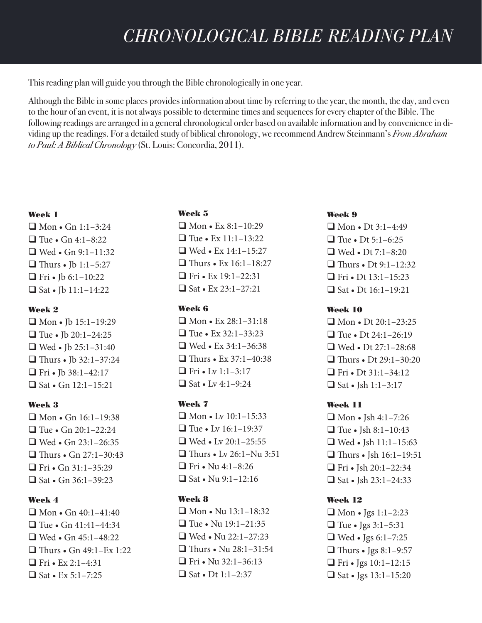This reading plan will guide you through the Bible chronologically in one year.

Although the Bible in some places provides information about time by referring to the year, the month, the day, and even to the hour of an event, it is not always possible to determine times and sequences for every chapter of the Bible. The following readings are arranged in a general chronological order based on available information and by convenience in dividing up the readings. For a detailed study of biblical chronology, we recommend Andrew Steinmann's *From Abraham to Paul: A Biblical Chronology* (St. Louis: Concordia, 2011).

## Week 1

 $\Box$  Mon • Gn 1:1–3:24  $\Box$  Tue • Gn 4:1–8:22  $\Box$  Wed • Gn 9:1–11:32  $\Box$  Thurs • Jb 1:1–5:27 **T** Fri • Jb 6:1-10:22  $\Box$  Sat • Jb 11:1-14:22

## Week 2

 $\Box$  Mon • Ib 15:1-19:29  $\Box$  Tue • Jb 20:1-24:25  $\Box$  Wed • Jb 25:1–31:40  $\Box$  Thurs • Jb 32:1–37:24  $\Box$  Fri • Jb 38:1-42:17  $\Box$  Sat • Gn 12:1-15:21

## Week 3

 $\Box$  Mon • Gn 16:1–19:38  $\Box$  Tue • Gn 20:1–22:24  $\Box$  Wed • Gn 23:1-26:35  $\Box$  Thurs • Gn 27:1–30:43  $\Box$  Fri • Gn 31:1-35:29  $\Box$  Sat • Gn 36:1–39:23

## Week 4

 $\Box$  Mon • Gn 40:1–41:40  $\Box$  Tue • Gn 41:41–44:34  $\Box$  Wed • Gn 45:1–48:22  $\Box$  Thurs • Gn 49:1–Ex 1:22  $\Box$  Fri • Ex 2:1–4:31  $\Box$  Sat • Ex 5:1–7:25

## Week 5

 $\Box$  Mon • Ex 8:1-10:29  $\Box$  Tue • Ex 11:1–13:22  $\Box$  Wed • Ex 14:1-15:27  $\Box$  Thurs • Ex 16:1-18:27  $\Box$  Fri • Ex 19:1–22:31  $\Box$  Sat • Ex 23:1–27:21

## Week 6

 $\Box$  Mon • Ex 28:1–31:18  $\Box$  Tue • Ex 32:1–33:23  $\Box$  Wed • Ex 34:1–36:38  $\Box$  Thurs • Ex 37:1–40:38 **T** Fri • Lv  $1:1-3:17$  $\Box$  Sat • Lv 4:1–9:24

## Week 7

 $\Box$  Mon • Lv 10:1-15:33  $\Box$  Tue • Lv 16:1–19:37  $\Box$  Wed • Lv 20:1-25:55  $\Box$  Thurs • Lv 26:1–Nu 3:51  $\Box$  Fri • Nu 4:1–8:26  $\Box$  Sat • Nu 9:1-12:16

## Week 8

 $\Box$  Mon • Nu 13:1-18:32  $\Box$  Tue • Nu 19:1–21:35  $\Box$  Wed • Nu 22:1–27:23  $\Box$  Thurs • Nu 28:1-31:54  $\Box$  Fri • Nu 32:1–36:13  $\Box$  Sat • Dt 1:1–2:37

## Week 9

 $\Box$  Mon • Dt 3:1–4:49  $\Box$  Tue • Dt 5:1–6:25  $\Box$  Wed • Dt 7:1–8:20  $\Box$  Thurs • Dt 9:1-12:32  $\Box$  Fri • Dt 13:1-15:23  $\Box$  Sat • Dt 16:1–19:21

## Week 10

 $\Box$  Mon • Dt 20:1–23:25  $\Box$  Tue • Dt 24:1–26:19  $\Box$  Wed • Dt 27:1-28:68  $\Box$  Thurs • Dt 29:1–30:20  $\Box$  Fri • Dt 31:1–34:12  $\Box$  Sat • Jsh 1:1–3:17

# Week 11

 $\Box$  Mon • Jsh 4:1–7:26  $\Box$  Tue • Jsh 8:1-10:43  $\Box$  Wed • Ish 11:1-15:63  $\Box$  Thurs • Jsh 16:1-19:51  $\Box$  Fri • Jsh 20:1-22:34  $\Box$  Sat • Jsh 23:1–24:33

# Week 12

 $\Box$  Mon • Jgs 1:1–2:23  $\Box$  Tue • Jgs 3:1–5:31  $\Box$  Wed • Jgs 6:1-7:25  $\Box$  Thurs • Jgs 8:1-9:57  $\Box$  Fri • Jgs 10:1-12:15  $\Box$  Sat • Jgs 13:1-15:20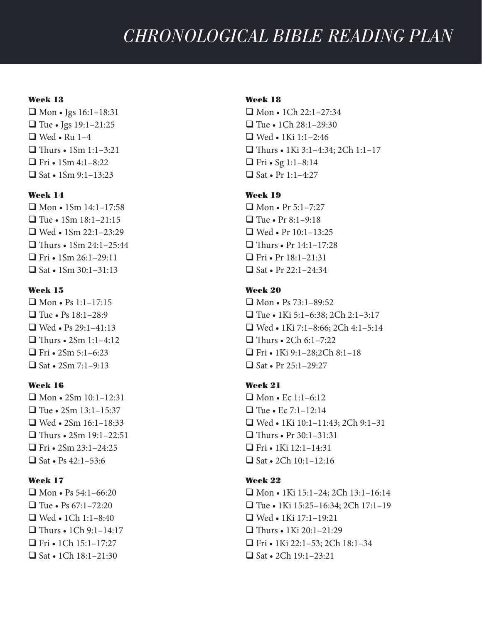#### Week 13

 $\Box$  Mon • Jgs 16:1–18:31  $\Box$  Tue • Jgs 19:1–21:25  $\Box$  Wed • Ru 1–4  $\Box$  Thurs • 1Sm 1:1–3:21  $\Box$  Fri • 1Sm 4:1–8:22  $\Box$  Sat • 1Sm 9:1–13:23

## Week 14

 $\Box$  Mon • 1Sm 14:1-17:58  $\Box$  Tue • 1Sm 18:1-21:15  $\Box$  Wed • 1Sm 22:1-23:29  $\Box$  Thurs • 1Sm 24:1–25:44  $\Box$  Fri • 1Sm 26:1–29:11  $\Box$  Sat • 1Sm 30:1–31:13

### Week 15

 $\Box$  Mon • Ps 1:1-17:15  $\Box$  Tue • Ps 18:1–28:9  $\Box$  Wed • Ps 29:1–41:13  $\Box$  Thurs • 2Sm 1:1–4:12  $\Box$  Fri • 2Sm 5:1–6:23  $\Box$  Sat • 2Sm 7:1–9:13

## Week 16

 $\Box$  Mon • 2Sm 10:1-12:31  $\Box$  Tue • 2Sm 13:1–15:37  $\Box$  Wed • 2Sm 16:1-18:33  $\Box$  Thurs • 2Sm 19:1–22:51  $\Box$  Fri • 2Sm 23:1-24:25  $\Box$  Sat • Ps 42:1–53:6

### Week 17

 $\Box$  Mon • Ps 54:1–66:20  $\Box$  Tue • Ps 67:1–72:20  $\Box$  Wed • 1Ch 1:1-8:40  $\Box$  Thurs • 1Ch 9:1-14:17  $\Box$  Fri • 1Ch 15:1–17:27  $\Box$  Sat • 1Ch 18:1–21:30

## Week 18

 $\Box$  Mon • 1Ch 22:1–27:34  $\Box$  Tue • 1Ch 28:1–29:30  $\Box$  Wed • 1Ki 1:1–2:46  $\Box$  Thurs • 1Ki 3:1–4:34; 2Ch 1:1–17  $\Box$  Fri • Sg 1:1–8:14  $\Box$  Sat • Pr 1:1–4:27

## Week 19

 $\Box$  Mon • Pr 5:1-7:27  $\Box$  Tue • Pr 8:1–9:18  $\Box$  Wed • Pr 10:1-13:25  $\Box$  Thurs • Pr 14:1–17:28  $\Box$  Fri • Pr 18:1–21:31  $\Box$  Sat • Pr 22:1–24:34

## Week 20

 $\Box$  Mon • Ps 73:1–89:52  $\Box$  Tue • 1Ki 5:1–6:38; 2Ch 2:1–3:17  $\Box$  Wed • 1Ki 7:1–8:66; 2Ch 4:1–5:14  $\Box$  Thurs • 2Ch 6:1–7:22  $\Box$  Fri • 1Ki 9:1-28;2Ch 8:1-18  $\Box$  Sat • Pr 25:1–29:27

## Week 21

 $\Box$  Mon • Ec 1:1–6:12  $\Box$  Tue • Ec 7:1–12:14  $\Box$  Wed • 1Ki 10:1-11:43; 2Ch 9:1-31  $\Box$  Thurs • Pr 30:1–31:31  $\Box$  Fri • 1Ki 12:1–14:31  $\Box$  Sat • 2Ch 10:1–12:16

### Week 22

q Mon • 1Ki 15:1–24; 2Ch 13:1–16:14  $\Box$  Tue • 1Ki 15:25–16:34; 2Ch 17:1–19  $\Box$  Wed • 1Ki 17:1-19:21  $\Box$  Thurs • 1Ki 20:1–21:29  $\Box$  Fri • 1Ki 22:1–53; 2Ch 18:1–34  $\Box$  Sat • 2Ch 19:1–23:21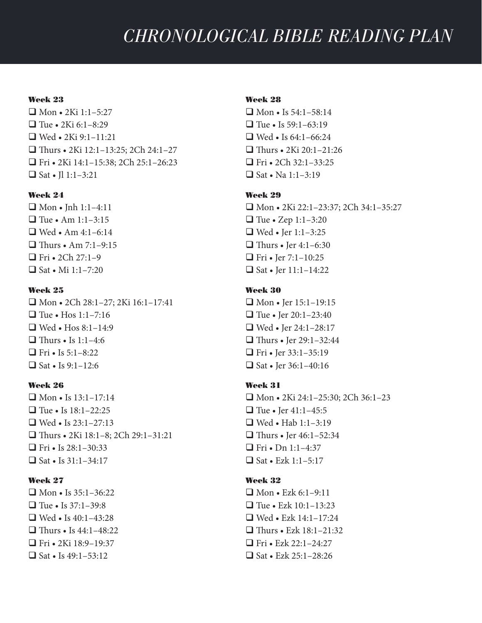#### Week 23

 $\Box$  Mon • 2Ki 1:1-5:27  $\Box$  Tue • 2Ki 6:1–8:29  $\Box$  Wed • 2Ki 9:1–11:21  $\Box$  Thurs • 2Ki 12:1–13:25; 2Ch 24:1–27 q Fri • 2Ki 14:1–15:38; 2Ch 25:1–26:23  $\Box$  Sat • Il 1:1–3:21

## Week 24

 $\Box$  Mon • Jnh 1:1-4:11  $\Box$  Tue • Am 1:1–3:15  $\Box$  Wed • Am 4:1–6:14  $\Box$  Thurs • Am 7:1–9:15  $\Box$  Fri • 2Ch 27:1–9  $\Box$  Sat • Mi 1:1–7:20

### Week 25

 $\Box$  Mon • 2Ch 28:1-27; 2Ki 16:1-17:41  $\Box$  Tue • Hos 1:1-7:16  $\Box$  Wed • Hos 8:1–14:9  $\Box$  Thurs • Is 1:1-4:6  $\Box$  Fri • Is 5:1–8:22  $\Box$  Sat • Is 9:1–12:6

## Week 26

 $\Box$  Mon • Is 13:1–17:14  $\Box$  Tue • Is  $18:1-22:25$  $\Box$  Wed • Is 23:1–27:13  $\Box$  Thurs • 2Ki 18:1–8; 2Ch 29:1–31:21  $\Box$  Fri • Is 28:1–30:33  $\Box$  Sat • Is 31:1–34:17

#### Week 27

 $\Box$  Mon • Is 35:1–36:22  $\Box$  Tue • Is 37:1–39:8  $\Box$  Wed • Is 40:1-43:28  $\Box$  Thurs • Is 44:1–48:22  $\Box$  Fri • 2Ki 18:9–19:37  $\Box$  Sat • Is 49:1–53:12

### Week 28

 $\Box$  Mon • Is 54:1–58:14  $\Box$  Tue • Is 59:1–63:19  $\Box$  Wed • Is 64:1–66:24  $\Box$  Thurs • 2Ki 20:1–21:26  $\Box$  Fri • 2Ch 32:1–33:25  $\Box$  Sat • Na 1:1–3:19

#### Week 29

q Mon • 2Ki 22:1–23:37; 2Ch 34:1–35:27  $\Box$  Tue • Zep 1:1–3:20  $\Box$  Wed • Jer 1:1–3:25  $\Box$  Thurs • Jer 4:1–6:30  $\Box$  Fri • Jer 7:1–10:25  $\Box$  Sat • Jer 11:1-14:22

## Week 30

 $\Box$  Mon • Jer 15:1–19:15  $\Box$  Tue • Jer 20:1–23:40  $\Box$  Wed • Jer 24:1–28:17  $\Box$  Thurs • Jer 29:1–32:44  $\Box$  Fri • Jer 33:1–35:19  $\Box$  Sat • Jer 36:1-40:16

### Week 31

 $\Box$  Mon • 2Ki 24:1-25:30; 2Ch 36:1-23  $\Box$  Tue • Jer 41:1-45:5  $\Box$  Wed • Hab 1:1–3:19  $\Box$  Thurs • Jer 46:1–52:34  $\Box$  Fri • Dn 1:1-4:37  $\Box$  Sat • Ezk 1:1–5:17

### Week 32

 $\Box$  Mon • Ezk 6:1-9:11  $\Box$  Tue • Ezk 10:1–13:23  $\Box$  Wed • Ezk 14:1–17:24  $\Box$  Thurs • Ezk 18:1–21:32  $\Box$  Fri • Ezk 22:1–24:27  $\Box$  Sat • Ezk 25:1–28:26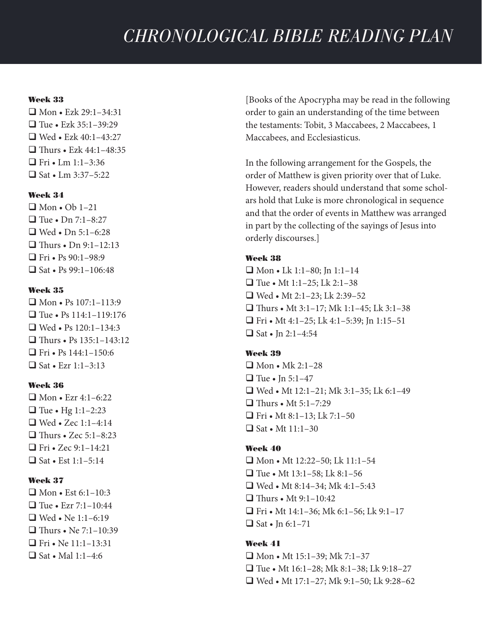## Week 33

 $\Box$  Mon • Ezk 29:1–34:31  $\Box$  Tue • Ezk 35:1–39:29  $\Box$  Wed • Ezk 40:1–43:27  $\Box$  Thurs • Ezk 44:1–48:35  $\Box$  Fri • Lm 1:1–3:36  $\Box$  Sat • Lm 3:37–5:22

## Week 34

 $\Box$  Mon • Ob 1-21  $\Box$  Tue • Dn 7:1–8:27  $\Box$  Wed • Dn 5:1–6:28  $\Box$  Thurs • Dn 9:1–12:13  $\Box$  Fri • Ps 90:1–98:9  $\Box$  Sat • Ps 99:1–106:48

### Week 35

 $\Box$  Mon • Ps 107:1–113:9  $\Box$  Tue • Ps 114:1-119:176  $\Box$  Wed • Ps 120:1-134:3  $\Box$  Thurs • Ps 135:1-143:12  $\Box$  Fri • Ps 144:1–150:6  $\Box$  Sat • Ezr 1:1–3:13

## Week 36

 $\Box$  Mon • Ezr 4:1–6:22  $\Box$  Tue • Hg 1:1-2:23  $\Box$  Wed • Zec 1:1-4:14  $\Box$  Thurs • Zec 5:1–8:23  $\Box$  Fri • Zec 9:1-14:21  $\Box$  Sat • Est 1:1–5:14

## Week 37

 $\Box$  Mon • Est 6:1–10:3  $\Box$  Tue • Ezr 7:1–10:44  $\Box$  Wed • Ne 1:1–6:19  $\Box$  Thurs • Ne 7:1–10:39  $\Box$  Fri • Ne 11:1–13:31  $\Box$  Sat • Mal 1:1–4:6

[Books of the Apocrypha may be read in the following order to gain an understanding of the time between the testaments: Tobit, 3 Maccabees, 2 Maccabees, 1 Maccabees, and Ecclesiasticus.

In the following arrangement for the Gospels, the order of Matthew is given priority over that of Luke. However, readers should understand that some scholars hold that Luke is more chronological in sequence and that the order of events in Matthew was arranged in part by the collecting of the sayings of Jesus into orderly discourses.]

## Week 38

 $\Box$  Mon • Lk 1:1–80; Jn 1:1–14  $\Box$  Tue • Mt 1:1–25; Lk 2:1–38  $\Box$  Wed • Mt 2:1–23; Lk 2:39–52  $\Box$  Thurs • Mt 3:1–17; Mk 1:1–45; Lk 3:1–38 **T** Fri • Mt 4:1-25; Lk 4:1-5:39; Jn 1:15-51  $\Box$  Sat • In 2:1-4:54

## Week 39

 $\Box$  Mon • Mk 2:1–28  $\Box$  Tue • In 5:1–47  $\Box$  Wed • Mt 12:1–21; Mk 3:1–35; Lk 6:1–49  $\Box$  Thurs • Mt 5:1-7:29  $\Box$  Fri • Mt 8:1-13; Lk 7:1-50  $\Box$  Sat • Mt 11:1–30

## Week 40

 $\Box$  Mon • Mt 12:22–50; Lk 11:1–54  $\Box$  Tue • Mt 13:1–58; Lk 8:1–56  $\Box$  Wed • Mt 8:14-34; Mk 4:1-5:43  $\Box$  Thurs • Mt 9:1-10:42  $\Box$  Fri • Mt 14:1–36; Mk 6:1–56; Lk 9:1–17  $\Box$  Sat • Jn 6:1–71

## Week 41

 $\Box$  Mon • Mt 15:1–39; Mk 7:1–37  $\Box$  Tue • Mt 16:1–28; Mk 8:1–38; Lk 9:18–27  $\Box$  Wed • Mt 17:1–27; Mk 9:1–50; Lk 9:28–62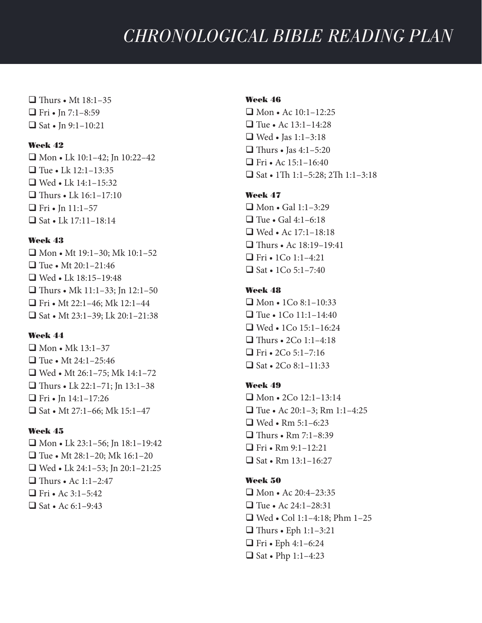$\Box$  Thurs • Mt 18:1–35  $\Box$  Fri • Jn 7:1–8:59  $\Box$  Sat • Jn 9:1-10:21

#### Week 42

 $\Box$  Mon • Lk 10:1–42; Jn 10:22–42  $\Box$  Tue • Lk 12:1–13:35  $\Box$  Wed • Lk 14:1-15:32  $\Box$  Thurs • Lk 16:1–17:10  $\Box$  Fri • Jn 11:1-57  $\Box$  Sat • Lk 17:11-18:14

#### Week 43

 $\Box$  Mon • Mt 19:1–30; Mk 10:1–52  $\Box$  Tue • Mt 20:1–21:46  $\Box$  Wed • Lk 18:15–19:48  $\Box$  Thurs • Mk 11:1–33; Jn 12:1–50  $\Box$  Fri • Mt 22:1-46; Mk 12:1-44  $\Box$  Sat • Mt 23:1-39; Lk 20:1-21:38

## Week 44

 $\Box$  Mon • Mk 13:1–37  $\Box$  Tue • Mt 24:1–25:46  $\Box$  Wed • Mt 26:1-75; Mk 14:1-72  $\Box$  Thurs • Lk 22:1–71; Jn 13:1–38  $\Box$  Fri • Jn 14:1–17:26  $\Box$  Sat • Mt 27:1–66; Mk 15:1–47

### Week 45

 $\Box$  Mon • Lk 23:1–56; Jn 18:1–19:42  $\Box$  Tue • Mt 28:1-20; Mk 16:1-20  $\Box$  Wed • Lk 24:1–53; Jn 20:1–21:25  $\Box$  Thurs • Ac 1:1–2:47  $\Box$  Fri • Ac 3:1–5:42  $\Box$  Sat • Ac 6:1–9:43

## Week 46

 $\Box$  Mon • Ac 10:1-12:25  $\Box$  Tue • Ac 13:1–14:28  $\Box$  Wed • Jas 1:1–3:18  $\Box$  Thurs • Jas 4:1–5:20  $\Box$  Fri • Ac 15:1–16:40  $\Box$  Sat • 1Th 1:1–5:28; 2Th 1:1–3:18

### Week 47

 $\Box$  Mon • Gal 1:1-3:29  $\Box$  Tue • Gal 4:1–6:18  $\Box$  Wed • Ac 17:1-18:18  $\Box$  Thurs • Ac  $18:19-19:41$  $\Box$  Fri • 1Co 1:1–4:21  $\Box$  Sat • 1Co 5:1–7:40

## Week 48

 $\Box$  Mon • 1Co 8:1-10:33  $\Box$  Tue • 1Co 11:1–14:40  $\Box$  Wed • 1Co 15:1–16:24  $\Box$  Thurs • 2Co 1:1–4:18  $\Box$  Fri • 2Co 5:1–7:16  $\Box$  Sat • 2Co 8:1–11:33

### Week 49

 $\Box$  Mon • 2Co 12:1-13:14  $\Box$  Tue • Ac 20:1–3; Rm 1:1–4:25  $\Box$  Wed • Rm 5:1–6:23  $\Box$  Thurs • Rm 7:1–8:39  $\Box$  Fri • Rm 9:1-12:21  $\Box$  Sat • Rm 13:1–16:27

### Week 50

 $\Box$  Mon • Ac 20:4-23:35  $\Box$  Tue • Ac 24:1–28:31  $\Box$  Wed • Col 1:1–4:18; Phm 1–25  $\Box$  Thurs • Eph 1:1–3:21  $\Box$  Fri • Eph 4:1–6:24  $\Box$  Sat • Php 1:1-4:23